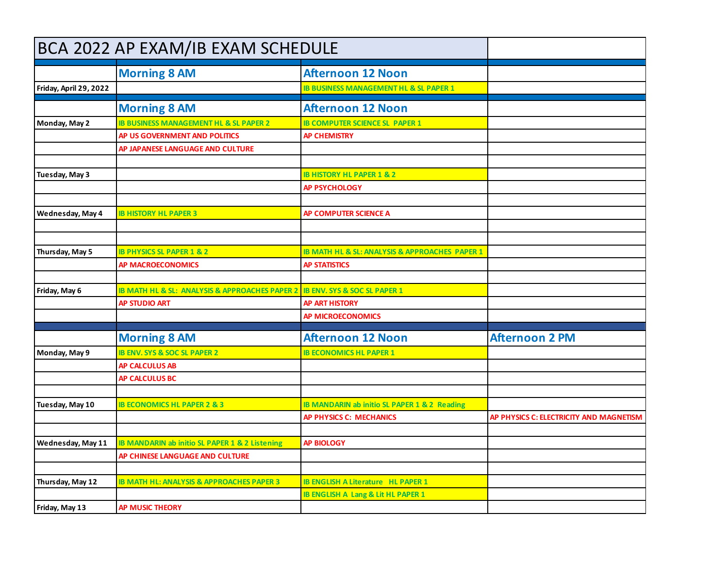| BCA 2022 AP EXAM/IB EXAM SCHEDULE |                                                      |                                                   |                                         |
|-----------------------------------|------------------------------------------------------|---------------------------------------------------|-----------------------------------------|
|                                   | <b>Morning 8 AM</b>                                  | <b>Afternoon 12 Noon</b>                          |                                         |
| Friday, April 29, 2022            |                                                      | <b>IB BUSINESS MANAGEMENT HL &amp; SL PAPER 1</b> |                                         |
|                                   | <b>Morning 8 AM</b>                                  | <b>Afternoon 12 Noon</b>                          |                                         |
| Monday, May 2                     | <b>IB BUSINESS MANAGEMENT HL &amp; SL PAPER 2</b>    | <b>IB COMPUTER SCIENCE SL PAPER 1</b>             |                                         |
|                                   | AP US GOVERNMENT AND POLITICS                        | <b>AP CHEMISTRY</b>                               |                                         |
|                                   | AP JAPANESE LANGUAGE AND CULTURE                     |                                                   |                                         |
|                                   |                                                      |                                                   |                                         |
| Tuesday, May 3                    |                                                      | <b>IB HISTORY HL PAPER 1 &amp; 2</b>              |                                         |
|                                   |                                                      | <b>AP PSYCHOLOGY</b>                              |                                         |
| Wednesday, May 4                  | <b>IB HISTORY HL PAPER 3</b>                         | AP COMPUTER SCIENCE A                             |                                         |
|                                   |                                                      |                                                   |                                         |
|                                   |                                                      |                                                   |                                         |
| Thursday, May 5                   | <b>IB PHYSICS SL PAPER 1 &amp; 2</b>                 | IB MATH HL & SL: ANALYSIS & APPROACHES PAPER 1    |                                         |
|                                   | <b>AP MACROECONOMICS</b>                             | <b>AP STATISTICS</b>                              |                                         |
|                                   |                                                      |                                                   |                                         |
| Friday, May 6                     | IB MATH HL & SL: ANALYSIS & APPROACHES PAPER 2       | <b>IB ENV. SYS &amp; SOC SL PAPER 1</b>           |                                         |
|                                   | <b>AP STUDIO ART</b>                                 | <b>AP ART HISTORY</b>                             |                                         |
|                                   |                                                      | <b>AP MICROECONOMICS</b>                          |                                         |
|                                   | <b>Morning 8 AM</b>                                  | <b>Afternoon 12 Noon</b>                          | <b>Afternoon 2 PM</b>                   |
| Monday, May 9                     | <b>IB ENV. SYS &amp; SOC SL PAPER 2</b>              | <b>IB ECONOMICS HL PAPER 1</b>                    |                                         |
|                                   | <b>AP CALCULUS AB</b>                                |                                                   |                                         |
|                                   | <b>AP CALCULUS BC</b>                                |                                                   |                                         |
|                                   |                                                      |                                                   |                                         |
| Tuesday, May 10                   | <b>IB ECONOMICS HL PAPER 2 &amp; 3</b>               | IB MANDARIN ab initio SL PAPER 1 & 2 Reading      |                                         |
|                                   |                                                      | <b>AP PHYSICS C: MECHANICS</b>                    | AP PHYSICS C: ELECTRICITY AND MAGNETISM |
| Wednesday, May 11                 | IB MANDARIN ab initio SL PAPER 1 & 2 Listening       | <b>AP BIOLOGY</b>                                 |                                         |
|                                   | AP CHINESE LANGUAGE AND CULTURE                      |                                                   |                                         |
|                                   |                                                      |                                                   |                                         |
| Thursday, May 12                  | <b>IB MATH HL: ANALYSIS &amp; APPROACHES PAPER 3</b> | <b>IB ENGLISH A Literature HL PAPER 1</b>         |                                         |
|                                   |                                                      | <b>IB ENGLISH A Lang &amp; Lit HL PAPER 1</b>     |                                         |
| Friday, May 13                    | <b>AP MUSIC THEORY</b>                               |                                                   |                                         |